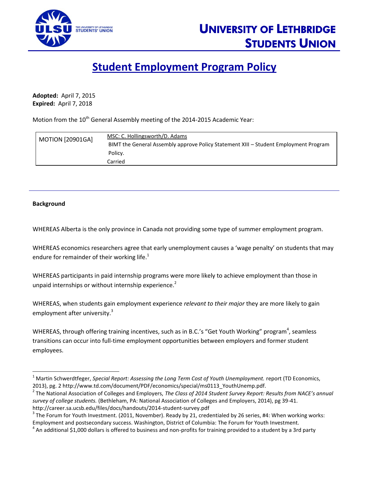

## **Student Employment Program Policy**

**Adopted:** April 7, 2015 **Expired:** April 7, 2018

Motion from the 10<sup>th</sup> General Assembly meeting of the 2014-2015 Academic Year:

| <b>MOTION [20901GA]</b> | MSC: C. Hollingsworth/D. Adams                                                       |
|-------------------------|--------------------------------------------------------------------------------------|
|                         | BIMT the General Assembly approve Policy Statement XIII – Student Employment Program |
|                         | Policy.                                                                              |
|                         | Carried                                                                              |

## **Background**

 $\overline{\phantom{a}}$ 

WHEREAS Alberta is the only province in Canada not providing some type of summer employment program.

WHEREAS economics researchers agree that early unemployment causes a 'wage penalty' on students that may endure for remainder of their working life. $<sup>1</sup>$ </sup>

WHEREAS participants in paid internship programs were more likely to achieve employment than those in unpaid internships or without internship experience.<sup>2</sup>

WHEREAS, when students gain employment experience *relevant to their major* they are more likely to gain employment after university.<sup>3</sup>

WHEREAS, through offering training incentives, such as in B.C.'s "Get Youth Working" program<sup>4</sup>, seamless transitions can occur into full-time employment opportunities between employers and former student employees.

<sup>1</sup> Martin Schwerdtfeger, *Special Report: Assessing the Long Term Cost of Youth Unemployment.* report (TD Economics, 2013), pg. 2 http://www.td.com/document/PDF/economics/special/ms0113\_YouthUnemp.pdf.

<sup>2</sup> The National Association of Colleges and Employers, *The Class of 2014 Student Survey Report: Results from NACE's annual survey of college students.* (Bethleham, PA: National Association of Colleges and Employers, 2014), pg 39-41. http://career.sa.ucsb.edu/files/docs/handouts/2014-student-survey.pdf

 $^3$  The Forum for Youth Investment. (2011, November). Ready by 21, credentialed by 26 series, #4: When working works: Employment and postsecondary success. Washington, District of Columbia: The Forum for Youth Investment.

 $^4$  An additional \$1,000 dollars is offered to business and non-profits for training provided to a student by a 3rd party